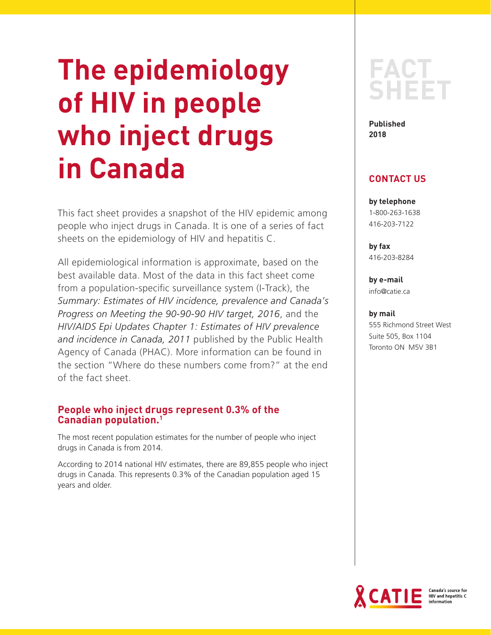# **The epidemiology of HIV in people who inject drugs in Canada**

This fact sheet provides a snapshot of the HIV epidemic among people who inject drugs in Canada. It is one of a series of fact sheets on the epidemiology of HIV and hepatitis C.

All epidemiological information is approximate, based on the best available data. Most of the data in this fact sheet come from a population-specific surveillance system (I-Track), the *Summary: Estimates of HIV incidence, prevalence and Canada's Progress on Meeting the 90-90-90 HIV target, 2016*, and the *HIV/AIDS Epi Updates Chapter 1: Estimates of HIV prevalence and incidence in Canada, 2011* published by the Public Health Agency of Canada (PHAC). More information can be found in the section "Where do these numbers come from?" at the end of the fact sheet.

# **People who inject drugs represent 0.3% of the Canadian population.1**

The most recent population estimates for the number of people who inject drugs in Canada is from 2014.

According to 2014 national HIV estimates, there are 89,855 people who inject drugs in Canada. This represents 0.3% of the Canadian population aged 15 years and older.

# **FACT SHEET**

**Published 2018** 

# **CONTACT US**

**by telephone** 1-800-263-1638 416-203-7122

**by fax** 416-203-8284

**by e-mail** info@catie.ca

#### **by mail**

555 Richmond Street West Suite 505, Box 1104 Toronto ON M5V 3B1

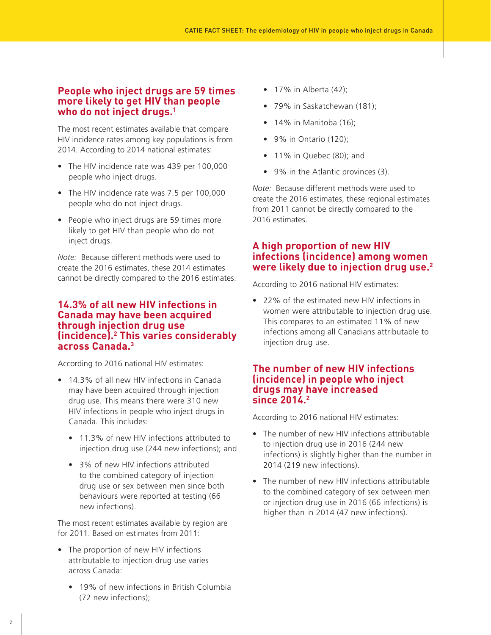#### **People who inject drugs are 59 times more likely to get HIV than people who do not inject drugs.1**

The most recent estimates available that compare HIV incidence rates among key populations is from 2014. According to 2014 national estimates:

- The HIV incidence rate was 439 per 100,000 people who inject drugs.
- The HIV incidence rate was 7.5 per 100,000 people who do not inject drugs.
- People who inject drugs are 59 times more likely to get HIV than people who do not inject drugs.

*Note:* Because different methods were used to create the 2016 estimates, these 2014 estimates cannot be directly compared to the 2016 estimates.

# **14.3% of all new HIV infections in Canada may have been acquired through injection drug use (incidence).2 This varies considerably across Canada.3**

According to 2016 national HIV estimates:

- 14.3% of all new HIV infections in Canada may have been acquired through injection drug use. This means there were 310 new HIV infections in people who inject drugs in Canada. This includes:
	- 11.3% of new HIV infections attributed to injection drug use (244 new infections); and
	- 3% of new HIV infections attributed to the combined category of injection drug use or sex between men since both behaviours were reported at testing (66 new infections).

The most recent estimates available by region are for 2011. Based on estimates from 2011:

- The proportion of new HIV infections attributable to injection drug use varies across Canada:
	- 19% of new infections in British Columbia (72 new infections);
- $\bullet$  17% in Alberta (42);
- 79% in Saskatchewan (181);
- $\bullet$  14% in Manitoba (16);
- 9% in Ontario (120);
- 11% in Quebec (80); and
- 9% in the Atlantic provinces (3).

*Note:* Because different methods were used to create the 2016 estimates, these regional estimates from 2011 cannot be directly compared to the 2016 estimates.

#### **A high proportion of new HIV infections (incidence) among women were likely due to injection drug use.2**

According to 2016 national HIV estimates:

• 22% of the estimated new HIV infections in women were attributable to injection drug use. This compares to an estimated 11% of new infections among all Canadians attributable to injection drug use.

#### **The number of new HIV infections (incidence) in people who inject drugs may have increased since 2014.2**

According to 2016 national HIV estimates:

- The number of new HIV infections attributable to injection drug use in 2016 (244 new infections) is slightly higher than the number in 2014 (219 new infections).
- The number of new HIV infections attributable to the combined category of sex between men or injection drug use in 2016 (66 infections) is higher than in 2014 (47 new infections).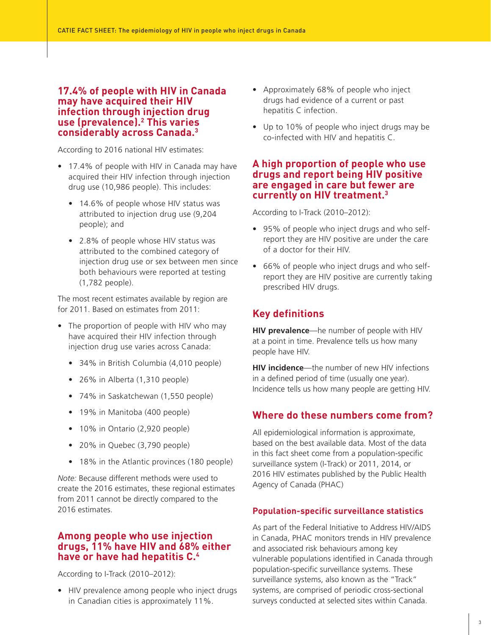# **17.4% of people with HIV in Canada may have acquired their HIV infection through injection drug use (prevalence).2 This varies considerably across Canada.3**

According to 2016 national HIV estimates:

- 17.4% of people with HIV in Canada may have acquired their HIV infection through injection drug use (10,986 people). This includes:
	- 14.6% of people whose HIV status was attributed to injection drug use (9,204 people); and
	- 2.8% of people whose HIV status was attributed to the combined category of injection drug use or sex between men since both behaviours were reported at testing (1,782 people).

The most recent estimates available by region are for 2011. Based on estimates from 2011:

- The proportion of people with HIV who may have acquired their HIV infection through injection drug use varies across Canada:
	- 34% in British Columbia (4,010 people)
	- 26% in Alberta (1,310 people)
	- 74% in Saskatchewan (1,550 people)
	- 19% in Manitoba (400 people)
	- 10% in Ontario (2,920 people)
	- 20% in Quebec (3,790 people)
	- 18% in the Atlantic provinces (180 people)

*Note:* Because different methods were used to create the 2016 estimates, these regional estimates from 2011 cannot be directly compared to the 2016 estimates.

# **Among people who use injection drugs, 11% have HIV and 68% either have or have had hepatitis C.4**

According to I-Track (2010–2012):

• HIV prevalence among people who inject drugs in Canadian cities is approximately 11%.

- Approximately 68% of people who inject drugs had evidence of a current or past hepatitis C infection.
- Up to 10% of people who inject drugs may be co-infected with HIV and hepatitis C.

# **A high proportion of people who use drugs and report being HIV positive are engaged in care but fewer are currently on HIV treatment.3**

According to I-Track (2010–2012):

- 95% of people who inject drugs and who selfreport they are HIV positive are under the care of a doctor for their HIV.
- 66% of people who inject drugs and who selfreport they are HIV positive are currently taking prescribed HIV drugs.

# **Key definitions**

**HIV prevalence**—he number of people with HIV at a point in time. Prevalence tells us how many people have HIV.

**HIV incidence**—the number of new HIV infections in a defined period of time (usually one year). Incidence tells us how many people are getting HIV.

# **Where do these numbers come from?**

All epidemiological information is approximate, based on the best available data. Most of the data in this fact sheet come from a population-specific surveillance system (I-Track) or 2011, 2014, or 2016 HIV estimates published by the Public Health Agency of Canada (PHAC)

# **Population-specific surveillance statistics**

As part of the Federal Initiative to Address HIV/AIDS in Canada, PHAC monitors trends in HIV prevalence and associated risk behaviours among key vulnerable populations identified in Canada through population-specific surveillance systems. These surveillance systems, also known as the "Track" systems, are comprised of periodic cross-sectional surveys conducted at selected sites within Canada.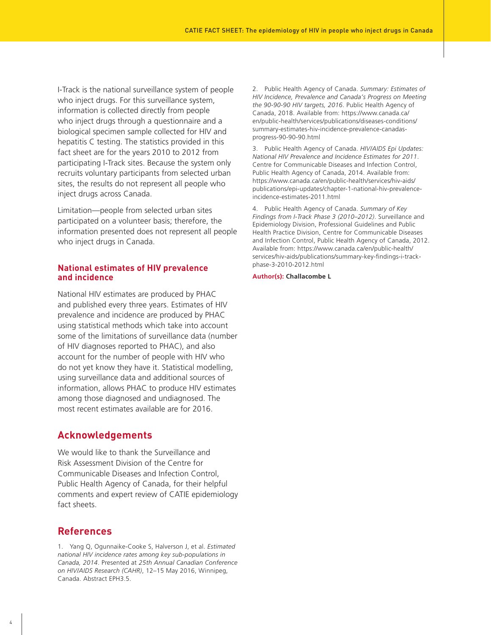I-Track is the national surveillance system of people who inject drugs. For this surveillance system, information is collected directly from people who inject drugs through a questionnaire and a biological specimen sample collected for HIV and hepatitis C testing. The statistics provided in this fact sheet are for the years 2010 to 2012 from participating I-Track sites. Because the system only recruits voluntary participants from selected urban sites, the results do not represent all people who inject drugs across Canada.

Limitation—people from selected urban sites participated on a volunteer basis; therefore, the information presented does not represent all people who inject drugs in Canada.

#### **National estimates of HIV prevalence and incidence**

National HIV estimates are produced by PHAC and published every three years. Estimates of HIV prevalence and incidence are produced by PHAC using statistical methods which take into account some of the limitations of surveillance data (number of HIV diagnoses reported to PHAC), and also account for the number of people with HIV who do not yet know they have it. Statistical modelling, using surveillance data and additional sources of information, allows PHAC to produce HIV estimates among those diagnosed and undiagnosed. The most recent estimates available are for 2016.

#### **Acknowledgements**

We would like to thank the Surveillance and Risk Assessment Division of the Centre for Communicable Diseases and Infection Control, Public Health Agency of Canada, for their helpful comments and expert review of CATIE epidemiology fact sheets.

# **References**

1. Yang Q, Ogunnaike-Cooke S, Halverson J, et al. *Estimated national HIV incidence rates among key sub-populations in Canada, 2014*. Presented at *25th Annual Canadian Conference on HIV/AIDS Research (CAHR)*, 12–15 May 2016, Winnipeg, Canada. Abstract EPH3.5.

2. Public Health Agency of Canada. *Summary: Estimates of HIV Incidence, Prevalence and Canada's Progress on Meeting the 90-90-90 HIV targets, 2016*. Public Health Agency of Canada, 2018. Available from: https://www.canada.ca/ en/public-health/services/publications/diseases-conditions/ summary-estimates-hiv-incidence-prevalence-canadasprogress-90-90-90.html

3. Public Health Agency of Canada. *HIV/AIDS Epi Updates: National HIV Prevalence and Incidence Estimates for 2011*. Centre for Communicable Diseases and Infection Control, Public Health Agency of Canada, 2014. Available from: https://www.canada.ca/en/public-health/services/hiv-aids/ publications/epi-updates/chapter-1-national-hiv-prevalenceincidence-estimates-2011.html

4. Public Health Agency of Canada. *Summary of Key Findings from I-Track Phase 3 (2010–2012)*. Surveillance and Epidemiology Division, Professional Guidelines and Public Health Practice Division, Centre for Communicable Diseases and Infection Control, Public Health Agency of Canada, 2012. Available from: https://www.canada.ca/en/public-health/ services/hiv-aids/publications/summary-key-findings-i-trackphase-3-2010-2012.html

#### **Author(s): Challacombe L**